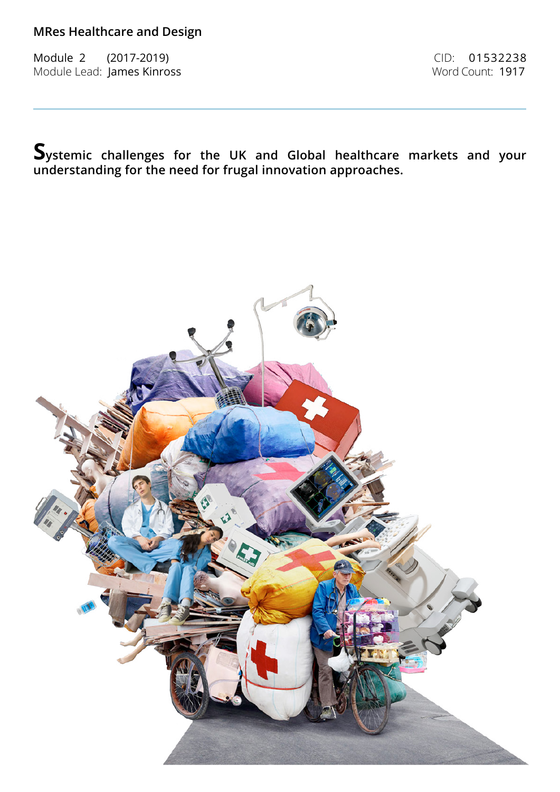Module 2 (2017-2019) CID: 01532238 Module Lead: James Kinross **Word Count: 1917** 

**Systemic challenges for the UK and Global healthcare markets and your understanding for the need for frugal innovation approaches.**

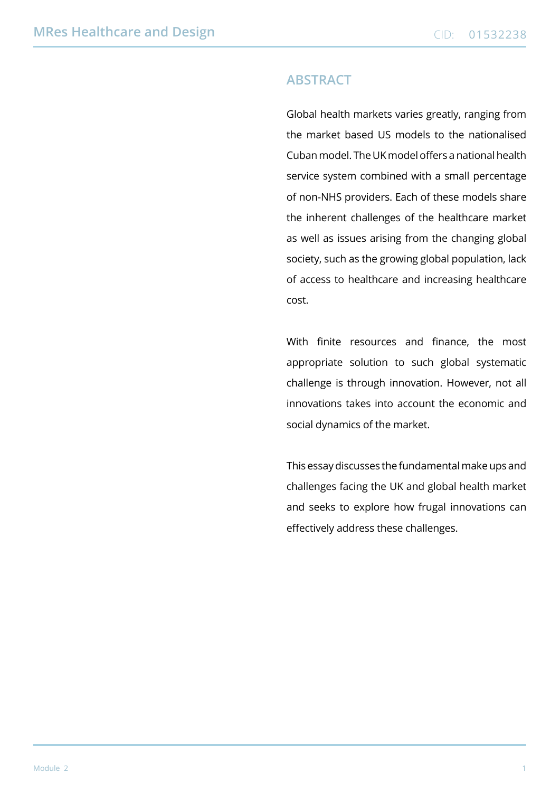#### **Abstract**

Global health markets varies greatly, ranging from the market based US models to the nationalised Cuban model. The UK model offers a national health service system combined with a small percentage of non-NHS providers. Each of these models share the inherent challenges of the healthcare market as well as issues arising from the changing global society, such as the growing global population, lack of access to healthcare and increasing healthcare cost.

With finite resources and finance, the most appropriate solution to such global systematic challenge is through innovation. However, not all innovations takes into account the economic and social dynamics of the market.

This essay discusses the fundamental make ups and challenges facing the UK and global health market and seeks to explore how frugal innovations can effectively address these challenges.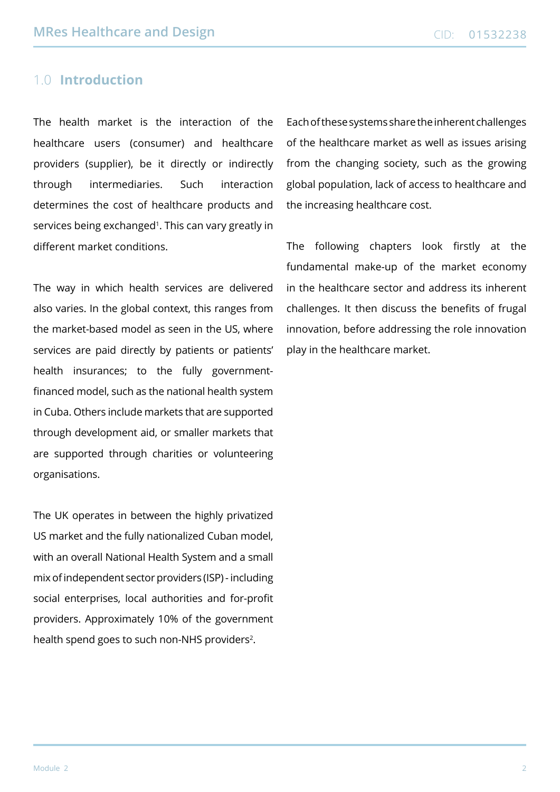## 1.0 **Introduction**

The health market is the interaction of the healthcare users (consumer) and healthcare providers (supplier), be it directly or indirectly through intermediaries. Such interaction determines the cost of healthcare products and services being exchanged<sup>1</sup>. This can vary greatly in different market conditions.

The way in which health services are delivered also varies. In the global context, this ranges from the market-based model as seen in the US, where services are paid directly by patients or patients' health insurances; to the fully governmentfinanced model, such as the national health system in Cuba. Others include markets that are supported through development aid, or smaller markets that are supported through charities or volunteering organisations.

The UK operates in between the highly privatized US market and the fully nationalized Cuban model, with an overall National Health System and a small mix of independent sector providers (ISP) - including social enterprises, local authorities and for-profit providers. Approximately 10% of the government health spend goes to such non-NHS providers<sup>2</sup>.

Each of these systems share the inherent challenges of the healthcare market as well as issues arising from the changing society, such as the growing global population, lack of access to healthcare and the increasing healthcare cost.

The following chapters look firstly at the fundamental make-up of the market economy in the healthcare sector and address its inherent challenges. It then discuss the benefits of frugal innovation, before addressing the role innovation play in the healthcare market.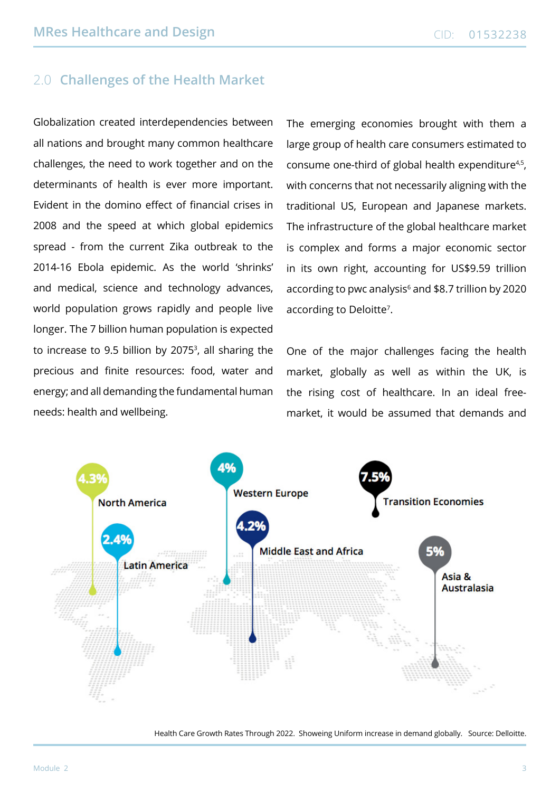# 2.0 **Challenges of the Health Market**

Globalization created interdependencies between all nations and brought many common healthcare challenges, the need to work together and on the determinants of health is ever more important. Evident in the domino effect of financial crises in 2008 and the speed at which global epidemics spread - from the current Zika outbreak to the 2014-16 Ebola epidemic. As the world 'shrinks' and medical, science and technology advances, world population grows rapidly and people live longer. The 7 billion human population is expected to increase to 9.5 billion by 20753 , all sharing the precious and finite resources: food, water and energy; and all demanding the fundamental human needs: health and wellbeing.

The emerging economies brought with them a large group of health care consumers estimated to consume one-third of global health expenditure<sup>4,5</sup>, with concerns that not necessarily aligning with the traditional US, European and Japanese markets. The infrastructure of the global healthcare market is complex and forms a major economic sector in its own right, accounting for US\$9.59 trillion according to pwc analysis<sup>6</sup> and \$8.7 trillion by 2020 according to Deloitte<sup>7</sup>.

One of the major challenges facing the health market, globally as well as within the UK, is the rising cost of healthcare. In an ideal freemarket, it would be assumed that demands and



Health Care Growth Rates Through 2022. Showeing Uniform increase in demand globally. Source: Delloitte.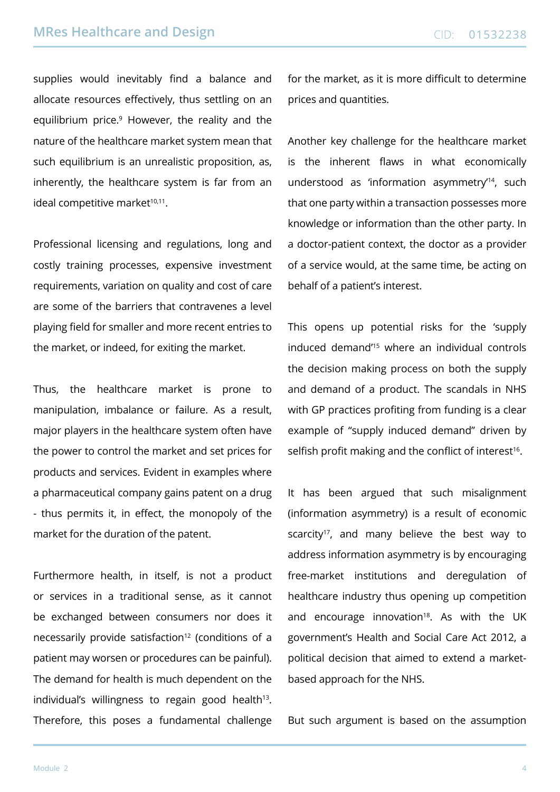supplies would inevitably find a balance and allocate resources effectively, thus settling on an equilibrium price.<sup>9</sup> However, the reality and the nature of the healthcare market system mean that such equilibrium is an unrealistic proposition, as, inherently, the healthcare system is far from an ideal competitive market<sup>10,11</sup>.

Professional licensing and regulations, long and costly training processes, expensive investment requirements, variation on quality and cost of care are some of the barriers that contravenes a level playing field for smaller and more recent entries to the market, or indeed, for exiting the market.

Thus, the healthcare market is prone to manipulation, imbalance or failure. As a result, major players in the healthcare system often have the power to control the market and set prices for products and services. Evident in examples where a pharmaceutical company gains patent on a drug - thus permits it, in effect, the monopoly of the market for the duration of the patent.

Furthermore health, in itself, is not a product or services in a traditional sense, as it cannot be exchanged between consumers nor does it necessarily provide satisfaction<sup>12</sup> (conditions of a patient may worsen or procedures can be painful). The demand for health is much dependent on the individual's willingness to regain good health $13$ . Therefore, this poses a fundamental challenge

for the market, as it is more difficult to determine prices and quantities.

Another key challenge for the healthcare market is the inherent flaws in what economically understood as 'information asymmetry'14, such that one party within a transaction possesses more knowledge or information than the other party. In a doctor-patient context, the doctor as a provider of a service would, at the same time, be acting on behalf of a patient's interest.

This opens up potential risks for the 'supply induced demand'15 where an individual controls the decision making process on both the supply and demand of a product. The scandals in NHS with GP practices profiting from funding is a clear example of "supply induced demand" driven by selfish profit making and the conflict of interest<sup>16</sup>.

It has been argued that such misalignment (information asymmetry) is a result of economic scarcity<sup>17</sup>, and many believe the best way to address information asymmetry is by encouraging free-market institutions and deregulation of healthcare industry thus opening up competition and encourage innovation<sup>18</sup>. As with the UK government's Health and Social Care Act 2012, a political decision that aimed to extend a marketbased approach for the NHS.

But such argument is based on the assumption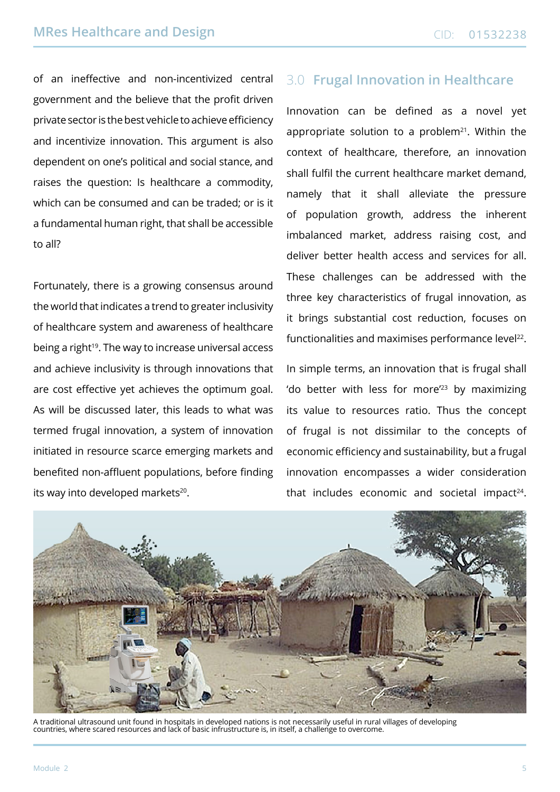of an ineffective and non-incentivized central government and the believe that the profit driven private sector is the best vehicle to achieve efficiency and incentivize innovation. This argument is also dependent on one's political and social stance, and raises the question: Is healthcare a commodity, which can be consumed and can be traded; or is it a fundamental human right, that shall be accessible to all?

Fortunately, there is a growing consensus around the world that indicates a trend to greater inclusivity of healthcare system and awareness of healthcare being a right<sup>19</sup>. The way to increase universal access and achieve inclusivity is through innovations that are cost effective yet achieves the optimum goal. As will be discussed later, this leads to what was termed frugal innovation, a system of innovation initiated in resource scarce emerging markets and benefited non-affluent populations, before finding its way into developed markets<sup>20</sup>.

# 3.0 **Frugal Innovation in Healthcare**

Innovation can be defined as a novel yet appropriate solution to a problem $21$ . Within the context of healthcare, therefore, an innovation shall fulfil the current healthcare market demand, namely that it shall alleviate the pressure of population growth, address the inherent imbalanced market, address raising cost, and deliver better health access and services for all. These challenges can be addressed with the three key characteristics of frugal innovation, as it brings substantial cost reduction, focuses on functionalities and maximises performance level<sup>22</sup>.

In simple terms, an innovation that is frugal shall 'do better with less for more'23 by maximizing its value to resources ratio. Thus the concept of frugal is not dissimilar to the concepts of economic efficiency and sustainability, but a frugal innovation encompasses a wider consideration that includes economic and societal impact<sup>24</sup>.



A traditional ultrasound unit found in hospitals in developed nations is not necessarily useful in rural villages of developing countries, where scared resources and lack of basic infrustructure is, in itself, a challenge to overcome.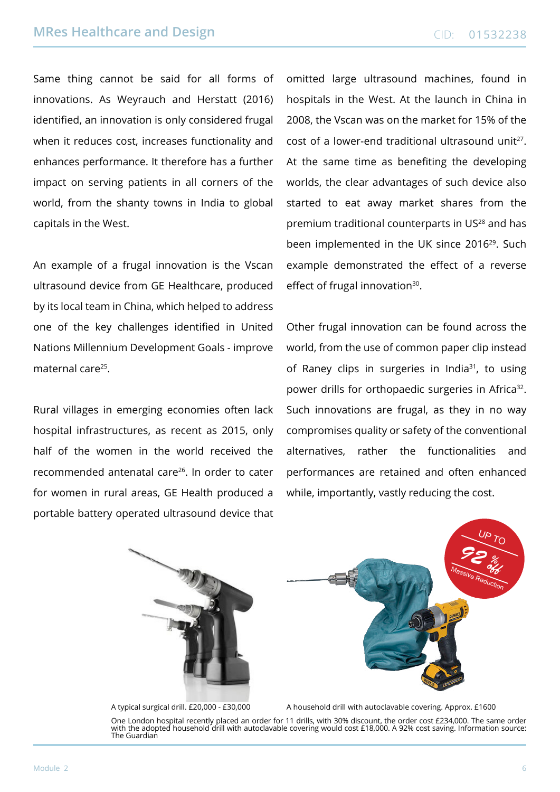Same thing cannot be said for all forms of innovations. As Weyrauch and Herstatt (2016) identified, an innovation is only considered frugal when it reduces cost, increases functionality and enhances performance. It therefore has a further impact on serving patients in all corners of the world, from the shanty towns in India to global capitals in the West.

An example of a frugal innovation is the Vscan ultrasound device from GE Healthcare, produced by its local team in China, which helped to address one of the key challenges identified in United Nations Millennium Development Goals - improve maternal care25.

Rural villages in emerging economies often lack hospital infrastructures, as recent as 2015, only half of the women in the world received the recommended antenatal care26. In order to cater for women in rural areas, GE Health produced a portable battery operated ultrasound device that

omitted large ultrasound machines, found in hospitals in the West. At the launch in China in 2008, the Vscan was on the market for 15% of the cost of a lower-end traditional ultrasound unit<sup>27</sup>. At the same time as benefiting the developing worlds, the clear advantages of such device also started to eat away market shares from the premium traditional counterparts in US<sup>28</sup> and has been implemented in the UK since 2016<sup>29</sup>. Such example demonstrated the effect of a reverse effect of frugal innovation<sup>30</sup>.

Other frugal innovation can be found across the world, from the use of common paper clip instead of Raney clips in surgeries in India<sup>31</sup>, to using power drills for orthopaedic surgeries in Africa<sup>32</sup>. Such innovations are frugal, as they in no way compromises quality or safety of the conventional alternatives, rather the functionalities and performances are retained and often enhanced while, importantly, vastly reducing the cost.





A typical surgical drill. £20,000 - £30,000 A household drill with autoclavable covering. Approx. £1600

One London hospital recently placed an order for 11 drills, with 30% discount, the order cost £234,000. The same order with the adopted household drill with autoclavable covering would cost £18,000. A 92% cost saving. Information source: The Guardian

 $\sigma$ T $\sim$ 

*off*

Massive Reduction

*92 %*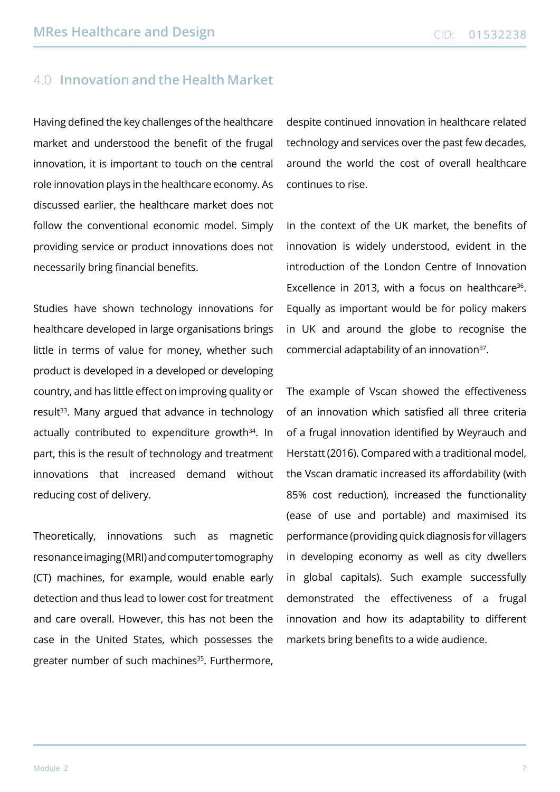## 4.0 **Innovation and the Health Market**

Having defined the key challenges of the healthcare market and understood the benefit of the frugal innovation, it is important to touch on the central role innovation plays in the healthcare economy. As discussed earlier, the healthcare market does not follow the conventional economic model. Simply providing service or product innovations does not necessarily bring financial benefits.

Studies have shown technology innovations for healthcare developed in large organisations brings little in terms of value for money, whether such product is developed in a developed or developing country, and has little effect on improving quality or result<sup>33</sup>. Many argued that advance in technology actually contributed to expenditure growth<sup>34</sup>. In part, this is the result of technology and treatment innovations that increased demand without reducing cost of delivery.

Theoretically, innovations such as magnetic resonance imaging (MRI) and computer tomography (CT) machines, for example, would enable early detection and thus lead to lower cost for treatment and care overall. However, this has not been the case in the United States, which possesses the greater number of such machines<sup>35</sup>. Furthermore,

despite continued innovation in healthcare related technology and services over the past few decades, around the world the cost of overall healthcare continues to rise.

In the context of the UK market, the benefits of innovation is widely understood, evident in the introduction of the London Centre of Innovation Excellence in 2013, with a focus on healthcare<sup>36</sup>. Equally as important would be for policy makers in UK and around the globe to recognise the commercial adaptability of an innovation<sup>37</sup>.

The example of Vscan showed the effectiveness of an innovation which satisfied all three criteria of a frugal innovation identified by Weyrauch and Herstatt (2016). Compared with a traditional model, the Vscan dramatic increased its affordability (with 85% cost reduction), increased the functionality (ease of use and portable) and maximised its performance (providing quick diagnosis for villagers in developing economy as well as city dwellers in global capitals). Such example successfully demonstrated the effectiveness of a frugal innovation and how its adaptability to different markets bring benefits to a wide audience.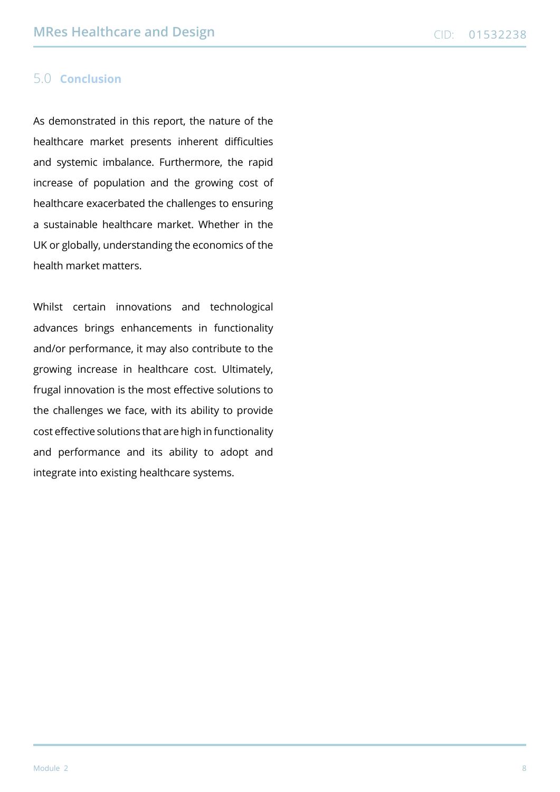#### 5.0 **Conclusion**

As demonstrated in this report, the nature of the healthcare market presents inherent difficulties and systemic imbalance. Furthermore, the rapid increase of population and the growing cost of healthcare exacerbated the challenges to ensuring a sustainable healthcare market. Whether in the UK or globally, understanding the economics of the health market matters.

Whilst certain innovations and technological advances brings enhancements in functionality and/or performance, it may also contribute to the growing increase in healthcare cost. Ultimately, frugal innovation is the most effective solutions to the challenges we face, with its ability to provide cost effective solutions that are high in functionality and performance and its ability to adopt and integrate into existing healthcare systems.